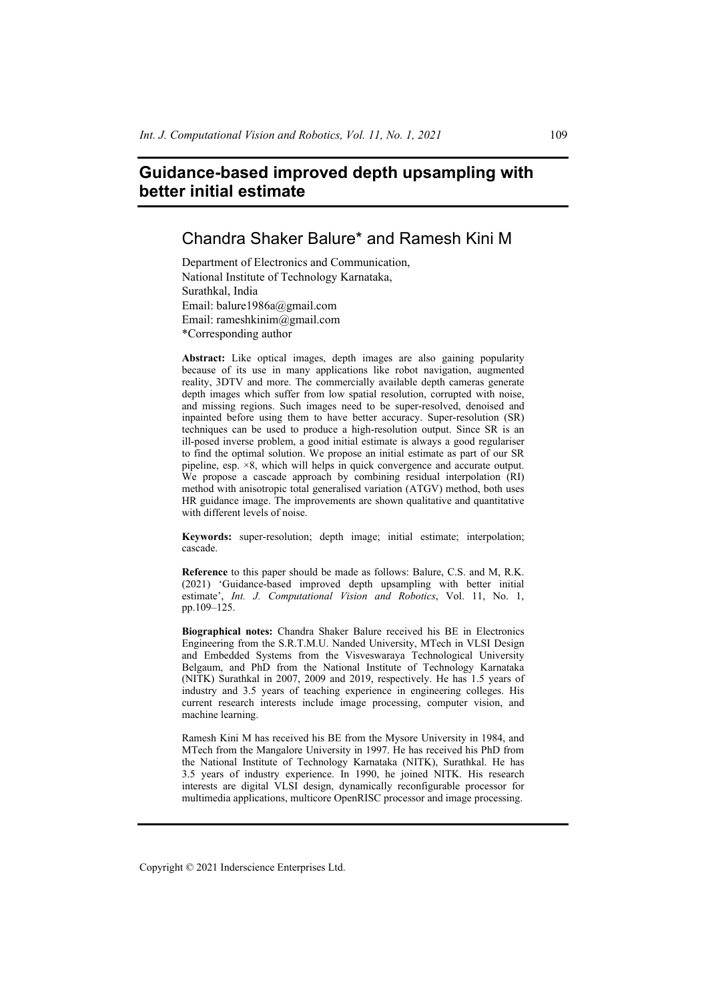# **Guidance-based improved depth upsampling with better initial estimate**

# Chandra Shaker Balure\* and Ramesh Kini M

Department of Electronics and Communication, National Institute of Technology Karnataka, Surathkal, India Email: balure1986a@gmail.com Email: rameshkinim@gmail.com \*Corresponding author

**Abstract:** Like optical images, depth images are also gaining popularity because of its use in many applications like robot navigation, augmented reality, 3DTV and more. The commercially available depth cameras generate depth images which suffer from low spatial resolution, corrupted with noise, and missing regions. Such images need to be super-resolved, denoised and inpainted before using them to have better accuracy. Super-resolution (SR) techniques can be used to produce a high-resolution output. Since SR is an ill-posed inverse problem, a good initial estimate is always a good regulariser to find the optimal solution. We propose an initial estimate as part of our SR pipeline,  $\exp^{-1} \times 8$ , which will helps in quick convergence and accurate output. We propose a cascade approach by combining residual interpolation (RI) method with anisotropic total generalised variation (ATGV) method, both uses HR guidance image. The improvements are shown qualitative and quantitative with different levels of noise.

**Keywords:** super-resolution; depth image; initial estimate; interpolation; cascade.

**Reference** to this paper should be made as follows: Balure, C.S. and M, R.K. (2021) 'Guidance-based improved depth upsampling with better initial estimate', *Int. J. Computational Vision and Robotics*, Vol. 11, No. 1, pp.109–125.

**Biographical notes:** Chandra Shaker Balure received his BE in Electronics Engineering from the S.R.T.M.U. Nanded University, MTech in VLSI Design and Embedded Systems from the Visveswaraya Technological University Belgaum, and PhD from the National Institute of Technology Karnataka (NITK) Surathkal in 2007, 2009 and 2019, respectively. He has 1.5 years of industry and 3.5 years of teaching experience in engineering colleges. His current research interests include image processing, computer vision, and machine learning.

Ramesh Kini M has received his BE from the Mysore University in 1984, and MTech from the Mangalore University in 1997. He has received his PhD from the National Institute of Technology Karnataka (NITK), Surathkal. He has 3.5 years of industry experience. In 1990, he joined NITK. His research interests are digital VLSI design, dynamically reconfigurable processor for multimedia applications, multicore OpenRISC processor and image processing.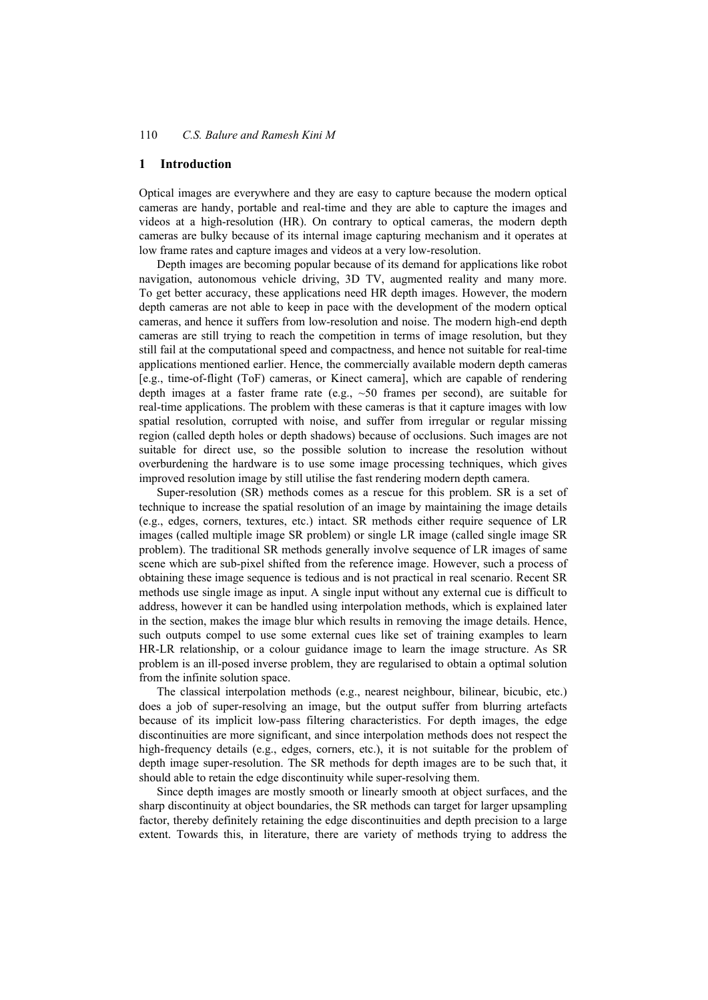### **1 Introduction**

Optical images are everywhere and they are easy to capture because the modern optical cameras are handy, portable and real-time and they are able to capture the images and videos at a high-resolution (HR). On contrary to optical cameras, the modern depth cameras are bulky because of its internal image capturing mechanism and it operates at low frame rates and capture images and videos at a very low-resolution.

Depth images are becoming popular because of its demand for applications like robot navigation, autonomous vehicle driving, 3D TV, augmented reality and many more. To get better accuracy, these applications need HR depth images. However, the modern depth cameras are not able to keep in pace with the development of the modern optical cameras, and hence it suffers from low-resolution and noise. The modern high-end depth cameras are still trying to reach the competition in terms of image resolution, but they still fail at the computational speed and compactness, and hence not suitable for real-time applications mentioned earlier. Hence, the commercially available modern depth cameras [e.g., time-of-flight (ToF) cameras, or Kinect camera], which are capable of rendering depth images at a faster frame rate (e.g., ~50 frames per second), are suitable for real-time applications. The problem with these cameras is that it capture images with low spatial resolution, corrupted with noise, and suffer from irregular or regular missing region (called depth holes or depth shadows) because of occlusions. Such images are not suitable for direct use, so the possible solution to increase the resolution without overburdening the hardware is to use some image processing techniques, which gives improved resolution image by still utilise the fast rendering modern depth camera.

Super-resolution (SR) methods comes as a rescue for this problem. SR is a set of technique to increase the spatial resolution of an image by maintaining the image details (e.g., edges, corners, textures, etc.) intact. SR methods either require sequence of LR images (called multiple image SR problem) or single LR image (called single image SR problem). The traditional SR methods generally involve sequence of LR images of same scene which are sub-pixel shifted from the reference image. However, such a process of obtaining these image sequence is tedious and is not practical in real scenario. Recent SR methods use single image as input. A single input without any external cue is difficult to address, however it can be handled using interpolation methods, which is explained later in the section, makes the image blur which results in removing the image details. Hence, such outputs compel to use some external cues like set of training examples to learn HR-LR relationship, or a colour guidance image to learn the image structure. As SR problem is an ill-posed inverse problem, they are regularised to obtain a optimal solution from the infinite solution space.

The classical interpolation methods (e.g., nearest neighbour, bilinear, bicubic, etc.) does a job of super-resolving an image, but the output suffer from blurring artefacts because of its implicit low-pass filtering characteristics. For depth images, the edge discontinuities are more significant, and since interpolation methods does not respect the high-frequency details (e.g., edges, corners, etc.), it is not suitable for the problem of depth image super-resolution. The SR methods for depth images are to be such that, it should able to retain the edge discontinuity while super-resolving them.

Since depth images are mostly smooth or linearly smooth at object surfaces, and the sharp discontinuity at object boundaries, the SR methods can target for larger upsampling factor, thereby definitely retaining the edge discontinuities and depth precision to a large extent. Towards this, in literature, there are variety of methods trying to address the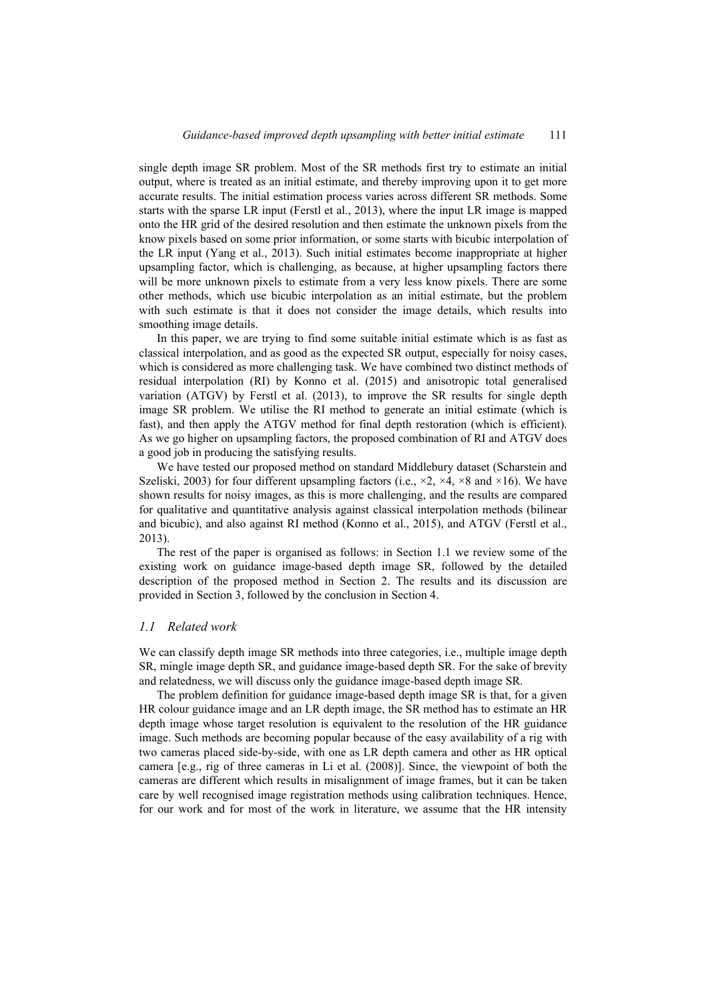single depth image SR problem. Most of the SR methods first try to estimate an initial output, where is treated as an initial estimate, and thereby improving upon it to get more accurate results. The initial estimation process varies across different SR methods. Some starts with the sparse LR input (Ferstl et al., 2013), where the input LR image is mapped onto the HR grid of the desired resolution and then estimate the unknown pixels from the know pixels based on some prior information, or some starts with bicubic interpolation of the LR input (Yang et al., 2013). Such initial estimates become inappropriate at higher upsampling factor, which is challenging, as because, at higher upsampling factors there will be more unknown pixels to estimate from a very less know pixels. There are some other methods, which use bicubic interpolation as an initial estimate, but the problem with such estimate is that it does not consider the image details, which results into smoothing image details.

In this paper, we are trying to find some suitable initial estimate which is as fast as classical interpolation, and as good as the expected SR output, especially for noisy cases, which is considered as more challenging task. We have combined two distinct methods of residual interpolation (RI) by Konno et al. (2015) and anisotropic total generalised variation (ATGV) by Ferstl et al. (2013), to improve the SR results for single depth image SR problem. We utilise the RI method to generate an initial estimate (which is fast), and then apply the ATGV method for final depth restoration (which is efficient). As we go higher on upsampling factors, the proposed combination of RI and ATGV does a good job in producing the satisfying results.

We have tested our proposed method on standard Middlebury dataset (Scharstein and Szeliski, 2003) for four different upsampling factors (i.e.,  $\times$ 2,  $\times$ 4,  $\times$ 8 and  $\times$ 16). We have shown results for noisy images, as this is more challenging, and the results are compared for qualitative and quantitative analysis against classical interpolation methods (bilinear and bicubic), and also against RI method (Konno et al., 2015), and ATGV (Ferstl et al., 2013).

The rest of the paper is organised as follows: in Section 1.1 we review some of the existing work on guidance image-based depth image SR, followed by the detailed description of the proposed method in Section 2. The results and its discussion are provided in Section 3, followed by the conclusion in Section 4.

#### *1.1 Related work*

We can classify depth image SR methods into three categories, i.e., multiple image depth SR, mingle image depth SR, and guidance image-based depth SR. For the sake of brevity and relatedness, we will discuss only the guidance image-based depth image SR.

The problem definition for guidance image-based depth image SR is that, for a given HR colour guidance image and an LR depth image, the SR method has to estimate an HR depth image whose target resolution is equivalent to the resolution of the HR guidance image. Such methods are becoming popular because of the easy availability of a rig with two cameras placed side-by-side, with one as LR depth camera and other as HR optical camera [e.g., rig of three cameras in Li et al. (2008)]. Since, the viewpoint of both the cameras are different which results in misalignment of image frames, but it can be taken care by well recognised image registration methods using calibration techniques. Hence, for our work and for most of the work in literature, we assume that the HR intensity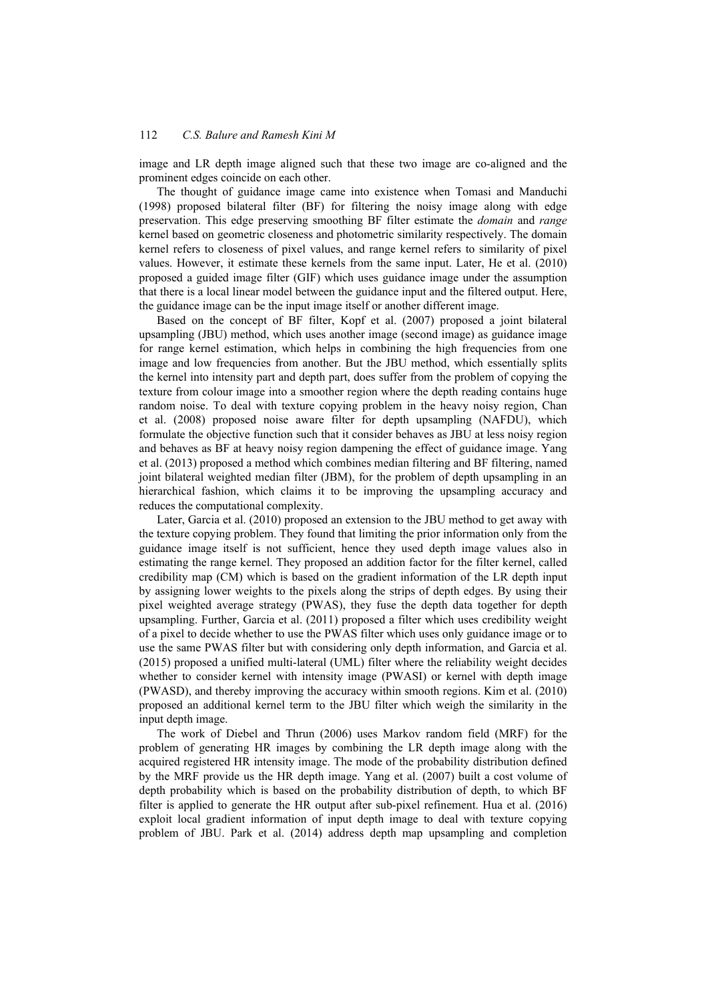image and LR depth image aligned such that these two image are co-aligned and the prominent edges coincide on each other.

The thought of guidance image came into existence when Tomasi and Manduchi (1998) proposed bilateral filter (BF) for filtering the noisy image along with edge preservation. This edge preserving smoothing BF filter estimate the *domain* and *range* kernel based on geometric closeness and photometric similarity respectively. The domain kernel refers to closeness of pixel values, and range kernel refers to similarity of pixel values. However, it estimate these kernels from the same input. Later, He et al. (2010) proposed a guided image filter (GIF) which uses guidance image under the assumption that there is a local linear model between the guidance input and the filtered output. Here, the guidance image can be the input image itself or another different image.

Based on the concept of BF filter, Kopf et al. (2007) proposed a joint bilateral upsampling (JBU) method, which uses another image (second image) as guidance image for range kernel estimation, which helps in combining the high frequencies from one image and low frequencies from another. But the JBU method, which essentially splits the kernel into intensity part and depth part, does suffer from the problem of copying the texture from colour image into a smoother region where the depth reading contains huge random noise. To deal with texture copying problem in the heavy noisy region, Chan et al. (2008) proposed noise aware filter for depth upsampling (NAFDU), which formulate the objective function such that it consider behaves as JBU at less noisy region and behaves as BF at heavy noisy region dampening the effect of guidance image. Yang et al. (2013) proposed a method which combines median filtering and BF filtering, named joint bilateral weighted median filter (JBM), for the problem of depth upsampling in an hierarchical fashion, which claims it to be improving the upsampling accuracy and reduces the computational complexity.

Later, Garcia et al. (2010) proposed an extension to the JBU method to get away with the texture copying problem. They found that limiting the prior information only from the guidance image itself is not sufficient, hence they used depth image values also in estimating the range kernel. They proposed an addition factor for the filter kernel, called credibility map (CM) which is based on the gradient information of the LR depth input by assigning lower weights to the pixels along the strips of depth edges. By using their pixel weighted average strategy (PWAS), they fuse the depth data together for depth upsampling. Further, Garcia et al. (2011) proposed a filter which uses credibility weight of a pixel to decide whether to use the PWAS filter which uses only guidance image or to use the same PWAS filter but with considering only depth information, and Garcia et al. (2015) proposed a unified multi-lateral (UML) filter where the reliability weight decides whether to consider kernel with intensity image (PWASI) or kernel with depth image (PWASD), and thereby improving the accuracy within smooth regions. Kim et al. (2010) proposed an additional kernel term to the JBU filter which weigh the similarity in the input depth image.

The work of Diebel and Thrun (2006) uses Markov random field (MRF) for the problem of generating HR images by combining the LR depth image along with the acquired registered HR intensity image. The mode of the probability distribution defined by the MRF provide us the HR depth image. Yang et al. (2007) built a cost volume of depth probability which is based on the probability distribution of depth, to which BF filter is applied to generate the HR output after sub-pixel refinement. Hua et al. (2016) exploit local gradient information of input depth image to deal with texture copying problem of JBU. Park et al. (2014) address depth map upsampling and completion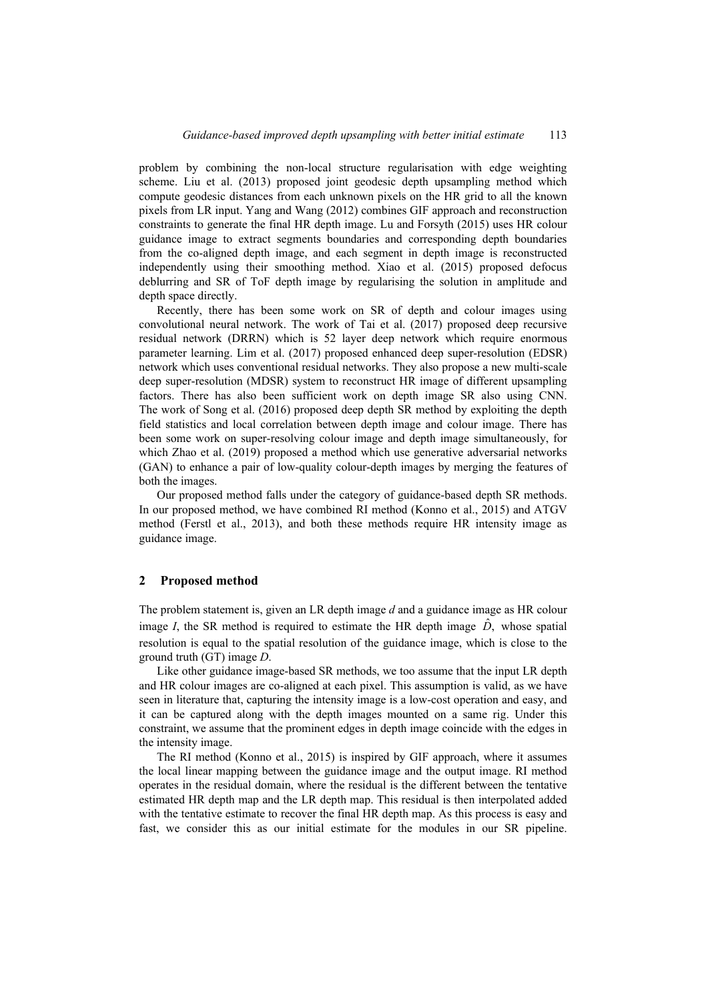problem by combining the non-local structure regularisation with edge weighting scheme. Liu et al. (2013) proposed joint geodesic depth upsampling method which compute geodesic distances from each unknown pixels on the HR grid to all the known pixels from LR input. Yang and Wang (2012) combines GIF approach and reconstruction constraints to generate the final HR depth image. Lu and Forsyth (2015) uses HR colour guidance image to extract segments boundaries and corresponding depth boundaries from the co-aligned depth image, and each segment in depth image is reconstructed independently using their smoothing method. Xiao et al. (2015) proposed defocus deblurring and SR of ToF depth image by regularising the solution in amplitude and depth space directly.

Recently, there has been some work on SR of depth and colour images using convolutional neural network. The work of Tai et al. (2017) proposed deep recursive residual network (DRRN) which is 52 layer deep network which require enormous parameter learning. Lim et al. (2017) proposed enhanced deep super-resolution (EDSR) network which uses conventional residual networks. They also propose a new multi-scale deep super-resolution (MDSR) system to reconstruct HR image of different upsampling factors. There has also been sufficient work on depth image SR also using CNN. The work of Song et al. (2016) proposed deep depth SR method by exploiting the depth field statistics and local correlation between depth image and colour image. There has been some work on super-resolving colour image and depth image simultaneously, for which Zhao et al. (2019) proposed a method which use generative adversarial networks (GAN) to enhance a pair of low-quality colour-depth images by merging the features of both the images.

Our proposed method falls under the category of guidance-based depth SR methods. In our proposed method, we have combined RI method (Konno et al., 2015) and ATGV method (Ferstl et al., 2013), and both these methods require HR intensity image as guidance image.

#### **2 Proposed method**

The problem statement is, given an LR depth image *d* and a guidance image as HR colour image *I*, the SR method is required to estimate the HR depth image  $\ddot{D}$ , whose spatial resolution is equal to the spatial resolution of the guidance image, which is close to the ground truth (GT) image *D*.

Like other guidance image-based SR methods, we too assume that the input LR depth and HR colour images are co-aligned at each pixel. This assumption is valid, as we have seen in literature that, capturing the intensity image is a low-cost operation and easy, and it can be captured along with the depth images mounted on a same rig. Under this constraint, we assume that the prominent edges in depth image coincide with the edges in the intensity image.

The RI method (Konno et al., 2015) is inspired by GIF approach, where it assumes the local linear mapping between the guidance image and the output image. RI method operates in the residual domain, where the residual is the different between the tentative estimated HR depth map and the LR depth map. This residual is then interpolated added with the tentative estimate to recover the final HR depth map. As this process is easy and fast, we consider this as our initial estimate for the modules in our SR pipeline.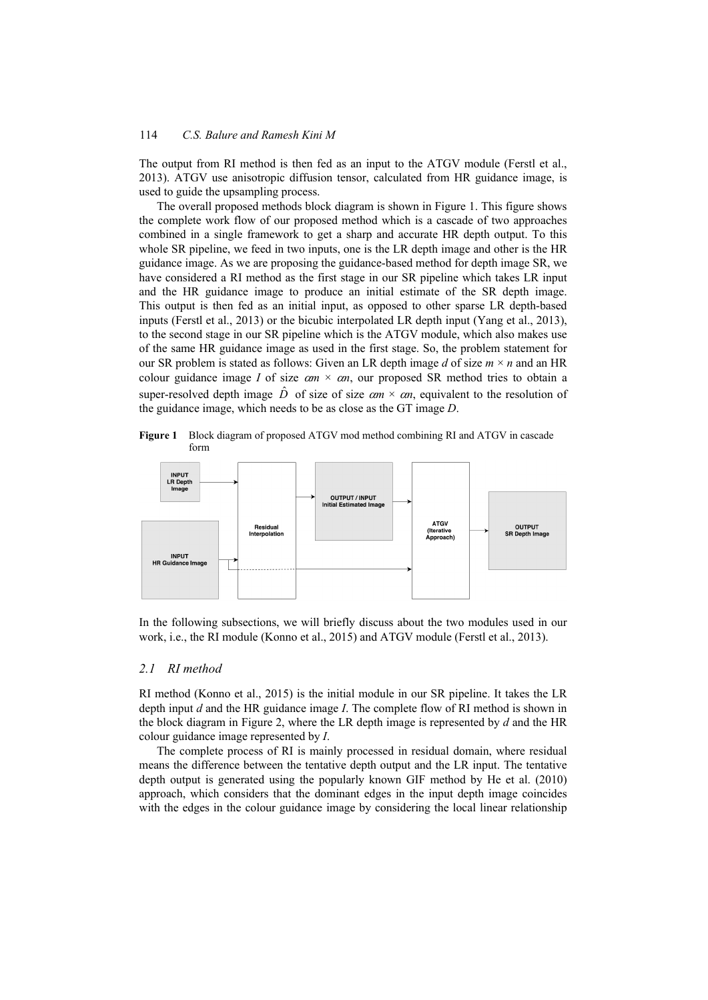The output from RI method is then fed as an input to the ATGV module (Ferstl et al., 2013). ATGV use anisotropic diffusion tensor, calculated from HR guidance image, is used to guide the upsampling process.

The overall proposed methods block diagram is shown in Figure 1. This figure shows the complete work flow of our proposed method which is a cascade of two approaches combined in a single framework to get a sharp and accurate HR depth output. To this whole SR pipeline, we feed in two inputs, one is the LR depth image and other is the HR guidance image. As we are proposing the guidance-based method for depth image SR, we have considered a RI method as the first stage in our SR pipeline which takes LR input and the HR guidance image to produce an initial estimate of the SR depth image. This output is then fed as an initial input, as opposed to other sparse LR depth-based inputs (Ferstl et al., 2013) or the bicubic interpolated LR depth input (Yang et al., 2013), to the second stage in our SR pipeline which is the ATGV module, which also makes use of the same HR guidance image as used in the first stage. So, the problem statement for our SR problem is stated as follows: Given an LR depth image *d* of size *m* × *n* and an HR colour guidance image *I* of size  $\alpha m \times \alpha n$ , our proposed SR method tries to obtain a super-resolved depth image  $\hat{D}$  of size of size  $\alpha m \times \alpha n$ , equivalent to the resolution of the guidance image, which needs to be as close as the GT image *D*.

**Figure 1** Block diagram of proposed ATGV mod method combining RI and ATGV in cascade form



In the following subsections, we will briefly discuss about the two modules used in our work, i.e., the RI module (Konno et al., 2015) and ATGV module (Ferstl et al., 2013).

## *2.1 RI method*

RI method (Konno et al., 2015) is the initial module in our SR pipeline. It takes the LR depth input *d* and the HR guidance image *I*. The complete flow of RI method is shown in the block diagram in Figure 2, where the LR depth image is represented by *d* and the HR colour guidance image represented by *I*.

The complete process of RI is mainly processed in residual domain, where residual means the difference between the tentative depth output and the LR input. The tentative depth output is generated using the popularly known GIF method by He et al. (2010) approach, which considers that the dominant edges in the input depth image coincides with the edges in the colour guidance image by considering the local linear relationship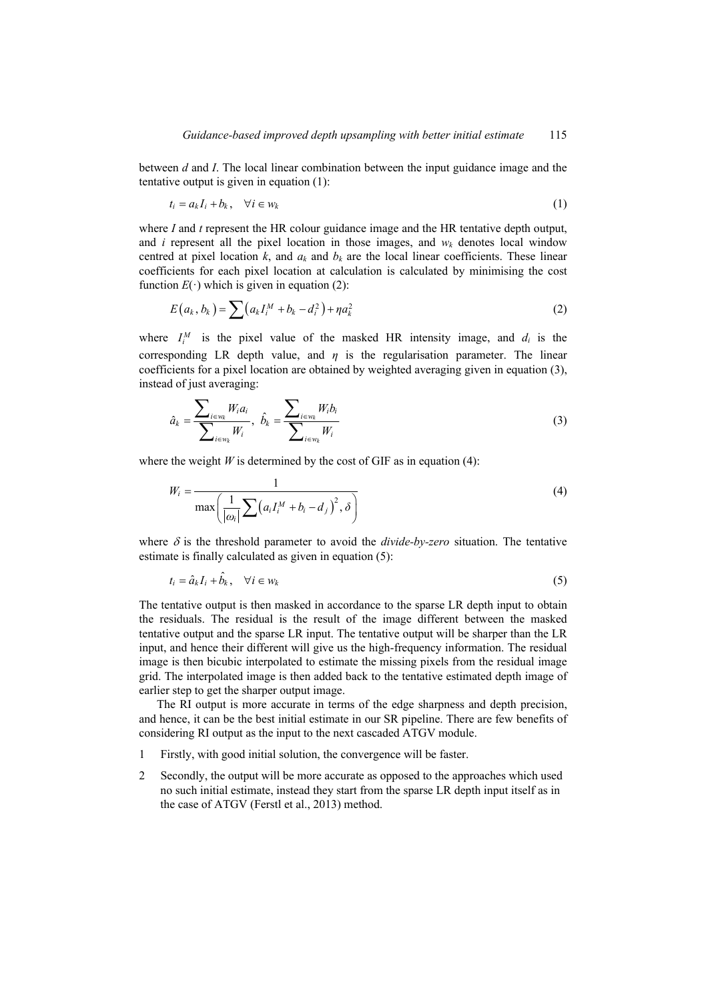between *d* and *I*. The local linear combination between the input guidance image and the tentative output is given in equation (1):

$$
t_i = a_k I_i + b_k, \quad \forall i \in w_k \tag{1}
$$

where *I* and *t* represent the HR colour guidance image and the HR tentative depth output, and  $i$  represent all the pixel location in those images, and  $w_k$  denotes local window centred at pixel location  $k$ , and  $a_k$  and  $b_k$  are the local linear coefficients. These linear coefficients for each pixel location at calculation is calculated by minimising the cost function  $E(\cdot)$  which is given in equation (2):

$$
E(a_k, b_k) = \sum_{k=1}^{\infty} (a_k I_i^M + b_k - d_i^2) + \eta a_k^2
$$
 (2)

where  $I_i^M$  is the pixel value of the masked HR intensity image, and  $d_i$  is the corresponding LR depth value, and  $\eta$  is the regularisation parameter. The linear coefficients for a pixel location are obtained by weighted averaging given in equation (3), instead of just averaging:

$$
\hat{a}_k = \frac{\sum_{i \in w_k} W_i a_i}{\sum_{i \in w_k} W_i}, \ \hat{b}_k = \frac{\sum_{i \in w_k} W_i b_i}{\sum_{i \in w_k} W_i}
$$
(3)

where the weight *W* is determined by the cost of GIF as in equation (4):

$$
W_i = \frac{1}{\max\left(\frac{1}{|\omega_i|}\sum (a_i I_i^M + b_i - d_j)^2, \delta\right)}
$$
(4)

where  $\delta$  is the threshold parameter to avoid the *divide-by-zero* situation. The tentative estimate is finally calculated as given in equation (5):

$$
t_i = \hat{a}_k I_i + \hat{b}_k, \quad \forall i \in w_k
$$
\n
$$
(5)
$$

The tentative output is then masked in accordance to the sparse LR depth input to obtain the residuals. The residual is the result of the image different between the masked tentative output and the sparse LR input. The tentative output will be sharper than the LR input, and hence their different will give us the high-frequency information. The residual image is then bicubic interpolated to estimate the missing pixels from the residual image grid. The interpolated image is then added back to the tentative estimated depth image of earlier step to get the sharper output image.

The RI output is more accurate in terms of the edge sharpness and depth precision, and hence, it can be the best initial estimate in our SR pipeline. There are few benefits of considering RI output as the input to the next cascaded ATGV module.

- 1 Firstly, with good initial solution, the convergence will be faster.
- 2 Secondly, the output will be more accurate as opposed to the approaches which used no such initial estimate, instead they start from the sparse LR depth input itself as in the case of ATGV (Ferstl et al., 2013) method.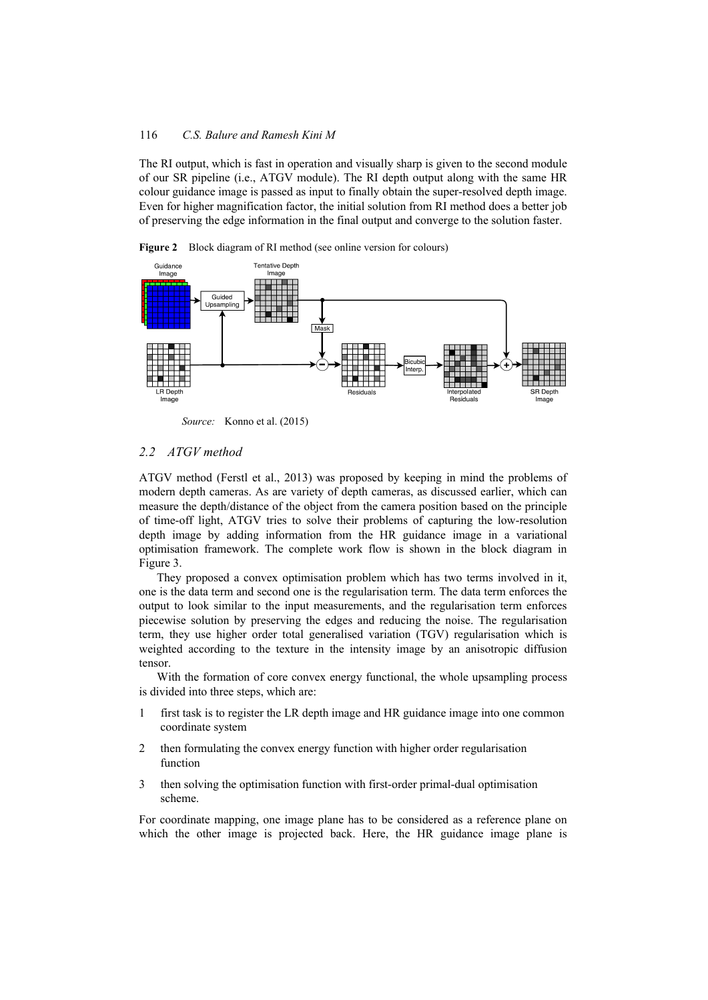The RI output, which is fast in operation and visually sharp is given to the second module of our SR pipeline (i.e., ATGV module). The RI depth output along with the same HR colour guidance image is passed as input to finally obtain the super-resolved depth image. Even for higher magnification factor, the initial solution from RI method does a better job of preserving the edge information in the final output and converge to the solution faster.



**Figure 2** Block diagram of RI method (see online version for colours)

*Source:* Konno et al. (2015)

## *2.2 ATGV method*

ATGV method (Ferstl et al., 2013) was proposed by keeping in mind the problems of modern depth cameras. As are variety of depth cameras, as discussed earlier, which can measure the depth/distance of the object from the camera position based on the principle of time-off light, ATGV tries to solve their problems of capturing the low-resolution depth image by adding information from the HR guidance image in a variational optimisation framework. The complete work flow is shown in the block diagram in Figure 3.

They proposed a convex optimisation problem which has two terms involved in it, one is the data term and second one is the regularisation term. The data term enforces the output to look similar to the input measurements, and the regularisation term enforces piecewise solution by preserving the edges and reducing the noise. The regularisation term, they use higher order total generalised variation (TGV) regularisation which is weighted according to the texture in the intensity image by an anisotropic diffusion tensor.

With the formation of core convex energy functional, the whole upsampling process is divided into three steps, which are:

- 1 first task is to register the LR depth image and HR guidance image into one common coordinate system
- 2 then formulating the convex energy function with higher order regularisation function
- 3 then solving the optimisation function with first-order primal-dual optimisation scheme.

For coordinate mapping, one image plane has to be considered as a reference plane on which the other image is projected back. Here, the HR guidance image plane is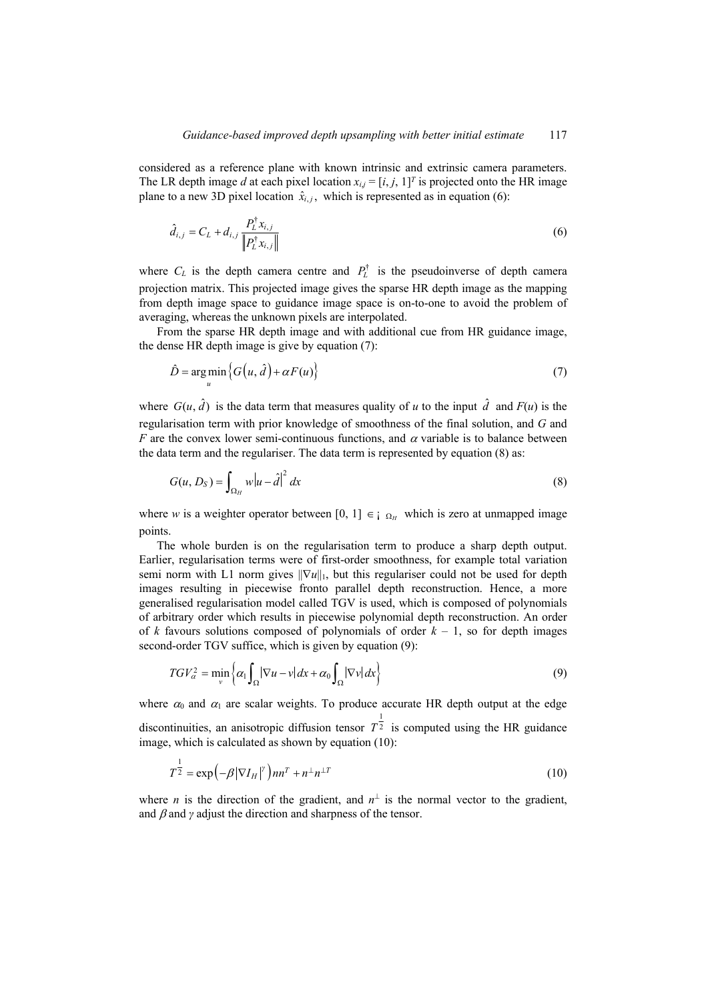considered as a reference plane with known intrinsic and extrinsic camera parameters. The LR depth image *d* at each pixel location  $x_{i,j} = [i, j, 1]^T$  is projected onto the HR image plane to a new 3D pixel location  $\hat{x}_{i,j}$ , which is represented as in equation (6):

$$
\hat{d}_{i,j} = C_L + d_{i,j} \frac{P_L^{\dagger} x_{i,j}}{\| P_L^{\dagger} x_{i,j} \|}
$$
 (6)

where  $C_L$  is the depth camera centre and  $P_L^{\dagger}$  is the pseudoinverse of depth camera projection matrix. This projected image gives the sparse HR depth image as the mapping from depth image space to guidance image space is on-to-one to avoid the problem of averaging, whereas the unknown pixels are interpolated.

From the sparse HR depth image and with additional cue from HR guidance image, the dense HR depth image is give by equation (7):

$$
\hat{D} = \underset{u}{\arg\min} \left\{ G(u, \hat{d}) + \alpha F(u) \right\} \tag{7}
$$

where  $G(u, \hat{d})$  is the data term that measures quality of *u* to the input  $\hat{d}$  and  $F(u)$  is the regularisation term with prior knowledge of smoothness of the final solution, and *G* and *F* are the convex lower semi-continuous functions, and  $\alpha$  variable is to balance between the data term and the regulariser. The data term is represented by equation (8) as:

$$
G(u, D_S) = \int_{\Omega_H} w|u - \hat{d}|^2 dx
$$
\n(8)

where *w* is a weighter operator between [0, 1]  $\epsilon$   $\Omega$ <sub>H</sub> which is zero at unmapped image points.

The whole burden is on the regularisation term to produce a sharp depth output. Earlier, regularisation terms were of first-order smoothness, for example total variation semi norm with L1 norm gives  $\|\nabla u\|_1$ , but this regulariser could not be used for depth images resulting in piecewise fronto parallel depth reconstruction. Hence, a more generalised regularisation model called TGV is used, which is composed of polynomials of arbitrary order which results in piecewise polynomial depth reconstruction. An order of *k* favours solutions composed of polynomials of order  $k - 1$ , so for depth images second-order TGV suffice, which is given by equation (9):

$$
TGV_{\alpha}^2 = \min_{\nu} \left\{ \alpha_1 \int_{\Omega} |\nabla u - \nu| \, dx + \alpha_0 \int_{\Omega} |\nabla \nu| \, dx \right\} \tag{9}
$$

where  $\alpha_0$  and  $\alpha_1$  are scalar weights. To produce accurate HR depth output at the edge discontinuities, an anisotropic diffusion tensor  $T^{\frac{1}{2}}$  is computed using the HR guidance image, which is calculated as shown by equation (10):

$$
T^{\frac{1}{2}} = \exp\left(-\beta |\nabla I_H|^{\gamma}\right) n n^T + n^{\perp} n^{\perp T}
$$
 (10)

where *n* is the direction of the gradient, and  $n^{\perp}$  is the normal vector to the gradient, and  $\beta$  and  $\gamma$  adjust the direction and sharpness of the tensor.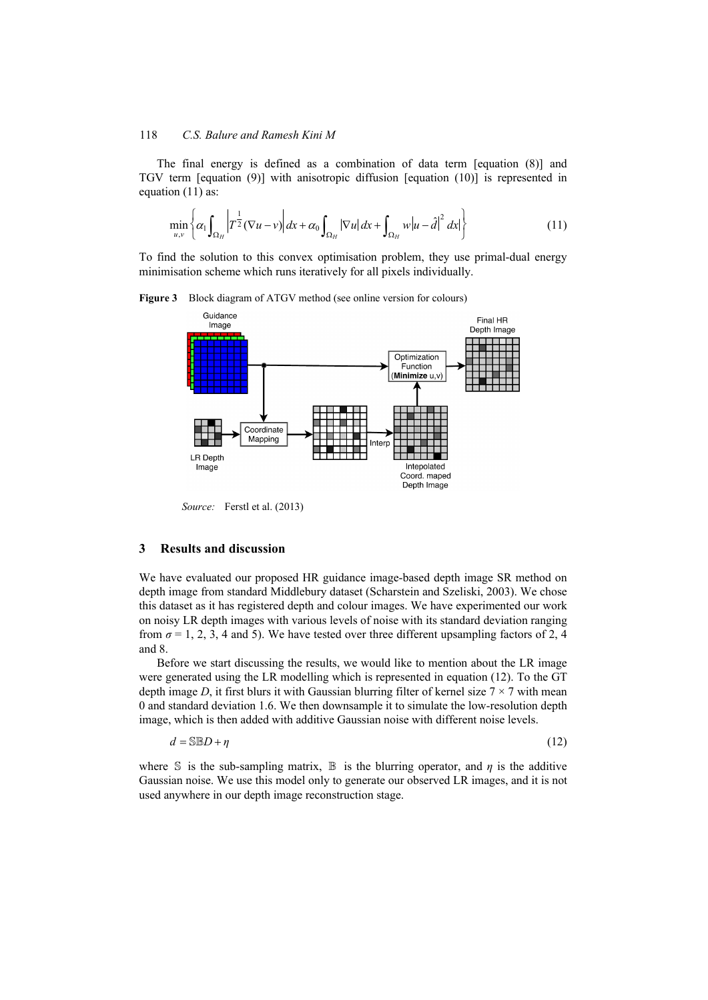The final energy is defined as a combination of data term [equation (8)] and TGV term [equation (9)] with anisotropic diffusion [equation (10)] is represented in equation (11) as:

$$
\min_{u,v} \left\{ \alpha_1 \int_{\Omega_H} \left| T^{\frac{1}{2}} (\nabla u - v) \right| dx + \alpha_0 \int_{\Omega_H} |\nabla u| dx + \int_{\Omega_H} w |u - \hat{d}|^2 dx \right\} \tag{11}
$$

To find the solution to this convex optimisation problem, they use primal-dual energy minimisation scheme which runs iteratively for all pixels individually.



**Figure 3** Block diagram of ATGV method (see online version for colours)

*Source:* Ferstl et al. (2013)

## **3 Results and discussion**

We have evaluated our proposed HR guidance image-based depth image SR method on depth image from standard Middlebury dataset (Scharstein and Szeliski, 2003). We chose this dataset as it has registered depth and colour images. We have experimented our work on noisy LR depth images with various levels of noise with its standard deviation ranging from  $\sigma = 1, 2, 3, 4$  and 5). We have tested over three different upsampling factors of 2, 4 and 8.

Before we start discussing the results, we would like to mention about the LR image were generated using the LR modelling which is represented in equation (12). To the GT depth image *D*, it first blurs it with Gaussian blurring filter of kernel size  $7 \times 7$  with mean 0 and standard deviation 1.6. We then downsample it to simulate the low-resolution depth image, which is then added with additive Gaussian noise with different noise levels.

$$
d = \mathbb{S} \mathbb{B} D + \eta \tag{12}
$$

where S is the sub-sampling matrix,  $\mathbb B$  is the blurring operator, and *η* is the additive Gaussian noise. We use this model only to generate our observed LR images, and it is not used anywhere in our depth image reconstruction stage.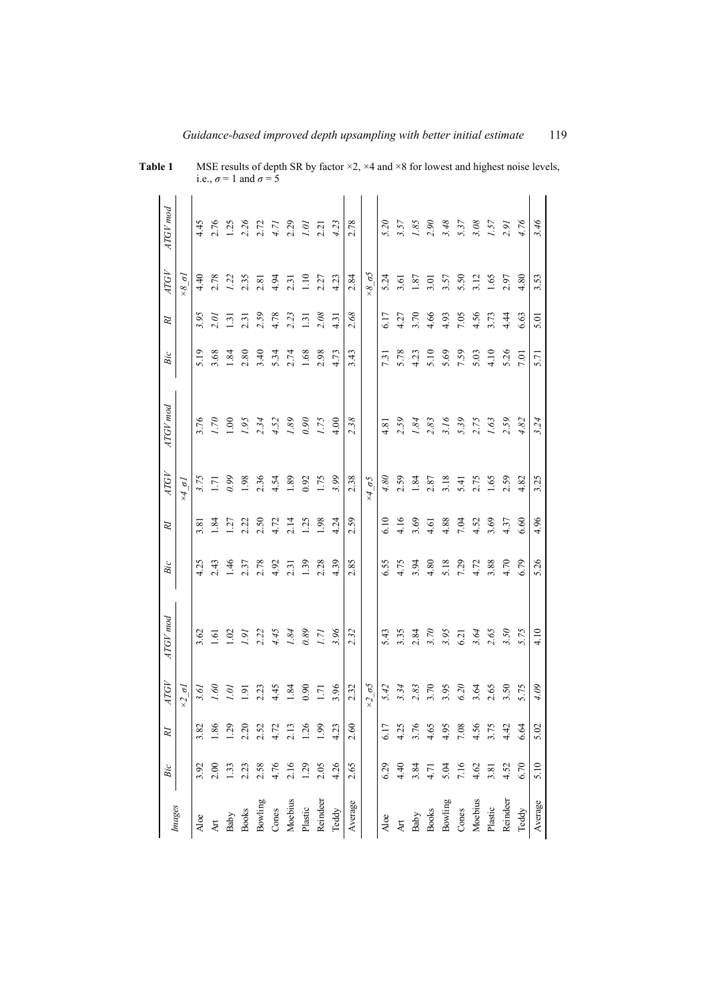| Images       | Bic            | RI               | <b>ATGV</b>        | ATGV mod         | $\mathit{Bic}$ | $\overline{R}$ | <b>ATGV</b>            | ATGV mod       | $\mathfrak{Bic}$ | $\cal R$ | ATGV                  | ATGV mod             |
|--------------|----------------|------------------|--------------------|------------------|----------------|----------------|------------------------|----------------|------------------|----------|-----------------------|----------------------|
|              |                |                  | $\times 2 \sigma$  |                  |                |                | $\times 4 \sigma$      |                |                  |          | $\times 8$ $\sigma$   |                      |
| Aloe         | 3.92           | 3.82             | 3.61               | 3.62             | 4.25           | 3.81           | 3.75                   | 3.76           | 5.19             | 3.95     | 4.40                  | 4.45                 |
| Art          | 2.00           | .86              | 091                | 1.61             | 2.43           | 1.84           | 1.71                   | $\omega$       | 3.68             | 2.01     | 2.78                  | 2.76                 |
| Baby         | $\frac{33}{2}$ | $\overline{621}$ | $\tilde{q}$        | 1.02             | 1.46           | 1.27           | 0.99                   | $\overline{0}$ | 1.84             | 1.31     | 1.22                  | 1.25                 |
| <b>Books</b> | 2.23           | 2.20             | $\overline{5}$     | $\overline{181}$ | 2.37           | 2.22           | 1.98                   | 1.95           | 2.80             | 2.31     | 2.35                  |                      |
| Bowling      | 2.58           | 2.52             | 2.23               | 2.22             | 2.78           | 2.50           | 2.36                   | 2.34           | 3.40             | 2.59     | 2.81                  | 2.26<br>2.72<br>4.71 |
| Cones        | 4.76           | 4.72             | 4.45               | 4.45             | 4.92           | 4.72           | 4.54                   | 4.52           | 5.34             | 4.78     | 4.94                  |                      |
| Moebius      | 2.16           | 2.13             | 1.84               | 1.84             | 2.31           | 2.14           | 1.89                   | 1.89           | 2.74             | 2.23     | 2.31                  | 2.29                 |
| Plastic      | 1.29           | 1.26             | 0.90               | 0.89             | 1.39           | 1.25           | 0.92                   | 0.90           | 1.68             | 1.31     | 1.10                  | 1.01                 |
| Reindeer     | 2.05           | 1.99             | 1.71               | 1.71             | 2.28           | 1.98           | 1.75                   | 1.75           | 2.98             | 2.08     | 2.27                  | 2.21                 |
| Teddy        | 4.26           | 4.23             | 3.96               | 3.96             | 4.39           | 4.24           | 3.99                   | 4.00           | 4.73             | 4.31     | 4.23                  | 4.23                 |
| Average      | 2.65           | 2.60             | 2.32               | 2.32             | 2.85           | 2.59           | 2.38                   | 2.38           | 3.43             | 2.68     | 2.84                  | 2.78                 |
|              |                |                  | $\times 2 \sigma5$ |                  |                |                | $\times 4\overline{0}$ |                |                  |          | $\times 8$ $\sigma$ 5 |                      |
| Aloe         | 6.29           | 6.17             | 5.42               | 5.43             | 6.55           | 6.10           | 4.80                   | 4.81           | 7.31             | 6.17     | 5.24                  | 5.20                 |
| Art          | 4.40           | 4.25             | 3.34               | 3.35             | 4.75           | 4.16           | 2.59                   | 2.59           | 5.78             | 4.27     | 3.61                  | 3.57                 |
| Baby         | 3.84           | 3.76             | 2.83               | 2.84             | 3.94           | 3.69           | 1.84                   | 1.84           | 4.23             | 3.70     | 1.87                  | 1.85                 |
| <b>Books</b> | 4.71           | 4.65             | 3.70               | 3.70             | 4.80           | 4.61           | 2.87                   | 2.83           | 5.10             | 4.66     | 3.01                  | 2.90                 |
| Bowling      | 5.04           | 4.95             | 3.95               | 3.95             | 5.18           | 4.88           | 3.18                   | 3.16           | 5.69             | 4.93     | 3.57                  | 3.48                 |
| Cones        | 7.16           | 7.08             | 6.20               | 6.21             | 7.29           | 7.04           | 5.41                   | 5.39           | 7.59             | 7.05     | 5.50                  | 5.37                 |
| Moebius      | 4.62           | 4.56             | 3.64               | 3.64             | 4.72           | 4.52           | 2.75                   | 2.75           | 5.03             | 4.56     | 3.12                  | 3.08                 |
| Plastic      | 3.81           | 3.75             | 2.65               | 2.65             | 3.88           | 3.69           | 1.65                   | 1.63           | 4.10             | 3.73     | 1.65                  | 1.57                 |
| Reindeer     | 4.52           | 4.42             | 3.50               | 3.50             | 4.70           | 4.37           | 2.59                   | 2.59           | 5.26             | 4.44     | 2.97                  | 2.91                 |
| Teddy        | 6.70           | 6.64             | 5.75               | 5.75             | 6.79           | 6.60           | 4.82                   | 4.82           | 7.01             | 6.63     | 4.80                  | 4.76                 |
| Average      | 5.10           | 5.02             | 4.09               | 4.10             | 5.26           | 4.96           | 3.25                   | 3.24           | 5.71             | 5.01     | 3.53                  | 3.46                 |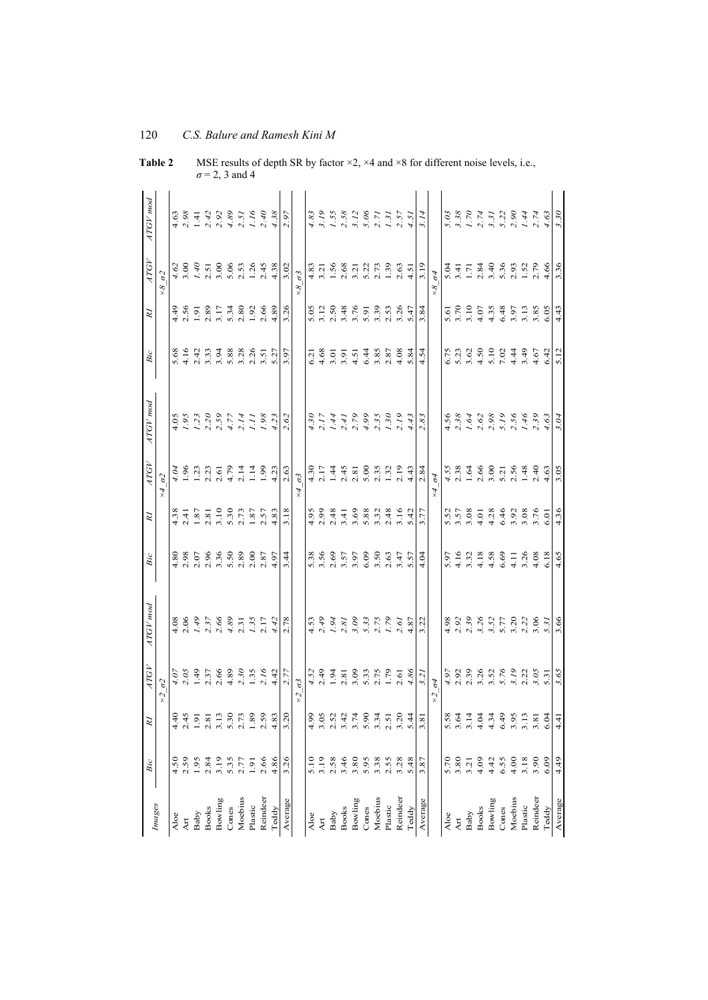|              | Bic  | R                | <b>ATGV</b>                             | ATGV mod                             | Bic                                | $\overline{R}$                                     | <b>ATGV</b>                                    | ATGV mod                                                                                                                                                                                                                                                                  | Bic                                                                                  | $\overline{R}$                                                                   | <b>ATGV</b>                                    | ATGV mod                                  |
|--------------|------|------------------|-----------------------------------------|--------------------------------------|------------------------------------|----------------------------------------------------|------------------------------------------------|---------------------------------------------------------------------------------------------------------------------------------------------------------------------------------------------------------------------------------------------------------------------------|--------------------------------------------------------------------------------------|----------------------------------------------------------------------------------|------------------------------------------------|-------------------------------------------|
| Images       |      |                  | $\sigma$ 2<br>$\times 2$                |                                      |                                    |                                                    | $\sigma$ 2<br>$\times$                         |                                                                                                                                                                                                                                                                           |                                                                                      |                                                                                  | $\sigma$ 2<br>$\times 8$                       |                                           |
| Aloe         | 4.50 | $\frac{4}{4}$    |                                         |                                      |                                    |                                                    | 4.04                                           |                                                                                                                                                                                                                                                                           |                                                                                      |                                                                                  |                                                | 4.63                                      |
| Art          | 2.59 | 2.45             | $4.07$<br>2.05                          | $4.08$<br>$2.06$                     |                                    | $4.38$<br>2.41                                     | $-96$                                          |                                                                                                                                                                                                                                                                           | $5.68$<br>4.16                                                                       |                                                                                  | $4.62$<br>3.00                                 | 2.98                                      |
| Baby         | 1.95 | 1.91             |                                         |                                      |                                    |                                                    | 1.23                                           |                                                                                                                                                                                                                                                                           |                                                                                      |                                                                                  |                                                |                                           |
| <b>Books</b> | 2.84 | 2.81             | $1.49$<br>2.37                          | $1.49$<br>$2.37$<br>$2.66$           |                                    | $1.87$<br>$2.81$<br>$3.10$                         | 2.23                                           |                                                                                                                                                                                                                                                                           |                                                                                      | $4.56$<br>$7.50$<br>$1.80$<br>$2.80$                                             |                                                | $1.41$<br>$2.42$                          |
| Bowling      | 3.19 | 3.13             | 2.66                                    |                                      |                                    |                                                    | 2.61                                           |                                                                                                                                                                                                                                                                           |                                                                                      | 3.17                                                                             |                                                | 2.92                                      |
| Cones        | 5.35 | 5.30             | 4.89                                    |                                      |                                    | 5.30                                               | 4.79                                           |                                                                                                                                                                                                                                                                           |                                                                                      |                                                                                  |                                                | 4.89                                      |
| Moebius      | 2.77 | 2.73             | 2.30                                    | $4.89$<br>2.31                       |                                    | 2.73                                               | 2.14                                           |                                                                                                                                                                                                                                                                           |                                                                                      |                                                                                  |                                                |                                           |
| Plastic      | 1.91 | 1.89             | $1.35$<br>$2.16$<br>$4.42$              | $1.35$<br>2.17                       |                                    | $1.87$<br>2.57<br>4.83                             | 1.14                                           | $\begin{array}{cccc}\n4.05 & 0.000 & 0.000 & 0.000 & 0.000 & 0.000 & 0.000 & 0.000 & 0.000 & 0.000 & 0.000 & 0.000 & 0.000 & 0.000 & 0.000 & 0.000 & 0.000 & 0.000 & 0.000 & 0.000 & 0.000 & 0.000 & 0.000 & 0.000 & 0.000 & 0.000 & 0.000 & 0.000 & 0.000 & 0.000 & 0.0$ |                                                                                      | $5.\overline{34}$<br>$2.\overline{30}$<br>$1.\overline{92}$<br>$2.\overline{66}$ |                                                | $2.51$<br>$1.16$<br>$2.40$<br>$4.38$      |
| Reindeer     | 2.66 | 2.59             |                                         |                                      |                                    |                                                    | $^{96}$                                        |                                                                                                                                                                                                                                                                           |                                                                                      |                                                                                  |                                                |                                           |
| Teddy        | 4.86 | 4.83             |                                         | 4.42                                 |                                    |                                                    | 4.23                                           |                                                                                                                                                                                                                                                                           |                                                                                      | 4.89                                                                             | 4.38                                           |                                           |
| Average      | 3.26 | 3.2 <sub>0</sub> | 2.77                                    | 2.78                                 | 3.44                               | 3.18                                               | 2.63                                           | 2.62                                                                                                                                                                                                                                                                      | 3.97                                                                                 | 3.26                                                                             | 3.02                                           | 2.97                                      |
|              |      |                  | $\sigma$ 3<br>$\widetilde{\mathcal{S}}$ |                                      |                                    |                                                    | $\sigma$ 3<br>$\star$                          |                                                                                                                                                                                                                                                                           |                                                                                      |                                                                                  | $\sigma$ 3<br>$\frac{8}{x}$                    |                                           |
| Aloe         | 5.10 | 4.99             |                                         |                                      |                                    |                                                    |                                                |                                                                                                                                                                                                                                                                           | 5.21                                                                                 |                                                                                  |                                                | 4.83                                      |
| Art          | 3.19 | 3.05             | $4.52$<br>2.49                          | $4.53$<br>2.49                       |                                    | $4.95$<br>2.99                                     | $4.30$<br>2.17                                 |                                                                                                                                                                                                                                                                           | 4.68                                                                                 |                                                                                  | 4.83<br>3.21                                   | 3.19                                      |
| Baby         | 2.58 | 2.52             | $1.94$<br>2.81                          | $1.94$<br>$2.81$                     |                                    |                                                    | 1.44                                           |                                                                                                                                                                                                                                                                           |                                                                                      |                                                                                  | $1.56$<br>$2.68$<br>$3.21$<br>$2.73$<br>$1.39$ | $1.55$<br>$2.58$                          |
| <b>Books</b> | 3.46 | 3.42             |                                         |                                      |                                    |                                                    | 2.45                                           |                                                                                                                                                                                                                                                                           |                                                                                      |                                                                                  |                                                |                                           |
| Bowling      | 3.80 | 3.74             |                                         | 3.09                                 |                                    |                                                    | 2.81                                           |                                                                                                                                                                                                                                                                           |                                                                                      |                                                                                  |                                                | 3.12                                      |
| Cones        | 5.95 | 5.90             |                                         |                                      |                                    |                                                    | 5.00                                           |                                                                                                                                                                                                                                                                           |                                                                                      |                                                                                  |                                                | 5.06                                      |
| Moebius      | 3.38 | 3.34             | $3.33$<br>$5.75$<br>$1.79$              | $5.33$<br>$5.75$<br>$6.87$<br>$4.87$ |                                    |                                                    | 2.35                                           |                                                                                                                                                                                                                                                                           | $0.5574888$<br>$0.546388$<br>$0.54638$                                               |                                                                                  |                                                | 2.71                                      |
| Plastic      | 2.55 | 2.51             |                                         |                                      |                                    |                                                    | $1.32$<br>2.19                                 |                                                                                                                                                                                                                                                                           |                                                                                      |                                                                                  |                                                | 1.31                                      |
| Reindeer     | 3.28 | 3.20             | 2.61                                    |                                      |                                    |                                                    |                                                |                                                                                                                                                                                                                                                                           |                                                                                      |                                                                                  | $2.63$<br>4.51                                 | 2.57                                      |
| Teddy        | 5.48 | 5.44             | 4.86                                    |                                      | 5.57                               |                                                    | 4.43                                           |                                                                                                                                                                                                                                                                           | 5.84                                                                                 | 5.47                                                                             |                                                | 1.51                                      |
| Average      | 3.87 | 3.81             | 3.21                                    | 3.22                                 | 4.04                               | 3.77                                               | 2.84                                           | 2.83                                                                                                                                                                                                                                                                      | 4.54                                                                                 | 3.84                                                                             | 3.19                                           |                                           |
|              |      |                  | $\sigma$ 4<br>$\tilde{\mathcal{X}}$     |                                      |                                    |                                                    | $\sigma$ 4<br>$\overline{\star}$               |                                                                                                                                                                                                                                                                           |                                                                                      |                                                                                  | $\sigma$ 4<br>$\frac{8}{x}$                    |                                           |
| Aloe         | 5.70 | 5.58             | 4.97                                    | 4.98                                 |                                    |                                                    |                                                |                                                                                                                                                                                                                                                                           |                                                                                      |                                                                                  |                                                | 5.03                                      |
| Art          | 3.80 | 3.64             | 2.92                                    | 2.92                                 | $5.97$<br>4.16                     | 5.57<br>3.57<br>3.08                               | $4.55$<br>2.38                                 |                                                                                                                                                                                                                                                                           | $5.73$ $0.9$ $0.9$ $0.4$ $0.5$<br>$0.4$ $0.5$ $0.4$ $0.5$<br>$0.4$ $0.5$ $0.4$ $0.5$ | 5.51<br>5.70<br>5.10                                                             | 5.41<br>5.41<br>1.71                           | 8<br>8 7 7 7 7 9 9 4 7<br>9 7 7 9 9 9 4 7 |
| Baby         | 3.21 | 3.14             |                                         | 2.39                                 | 3.32                               |                                                    | 1.64                                           |                                                                                                                                                                                                                                                                           |                                                                                      |                                                                                  |                                                |                                           |
| <b>Books</b> | 4.09 | 4.04             | 3.26                                    | 3.26                                 | 4.18                               |                                                    | 2.66                                           |                                                                                                                                                                                                                                                                           |                                                                                      | 4.07                                                                             |                                                |                                           |
| Bowling      | 4.42 | 4.34             |                                         | $3.52$<br>$5.77$                     | $4.58$<br>6.69                     | $4.386$<br>$4.4928$<br>$4.508$<br>$5.76$<br>$6.50$ | $3.71$<br>$5.75$<br>$5.74$<br>$5.40$<br>$1.40$ |                                                                                                                                                                                                                                                                           |                                                                                      | $4.497$<br>$4.5798$<br>$6.69$<br>$6.69$                                          |                                                |                                           |
| Cones        | 6.55 | 6.49             |                                         |                                      |                                    |                                                    |                                                |                                                                                                                                                                                                                                                                           |                                                                                      |                                                                                  |                                                |                                           |
| Moebius      | 4.00 | 3.95             |                                         | 3.21<br>2.21<br>3.06                 | $4.11$<br>$4.38$<br>$4.38$<br>6.18 |                                                    |                                                |                                                                                                                                                                                                                                                                           |                                                                                      |                                                                                  |                                                |                                           |
| Plastic      | 3.18 | 3.13             |                                         |                                      |                                    |                                                    |                                                |                                                                                                                                                                                                                                                                           |                                                                                      |                                                                                  |                                                |                                           |
| Reindeer     | 3.90 | 3.81             |                                         |                                      |                                    |                                                    |                                                |                                                                                                                                                                                                                                                                           |                                                                                      |                                                                                  |                                                |                                           |
| Teddy        | 6.09 | 6.04             |                                         | 5.31                                 |                                    |                                                    | 4.63                                           |                                                                                                                                                                                                                                                                           |                                                                                      |                                                                                  |                                                | 4.63                                      |
| Average      | 4.49 | 4.41             | 3.65                                    | 3.66                                 | 4.65                               | 4.36                                               | 3.05                                           | 3.04                                                                                                                                                                                                                                                                      | 5.12                                                                                 | 4.43                                                                             | 3.36                                           | 3.30                                      |

**Table 2** MSE results of depth SR by factor ×2, ×4 and ×8 for different noise levels, i.e., *σ* = 2, 3 and 4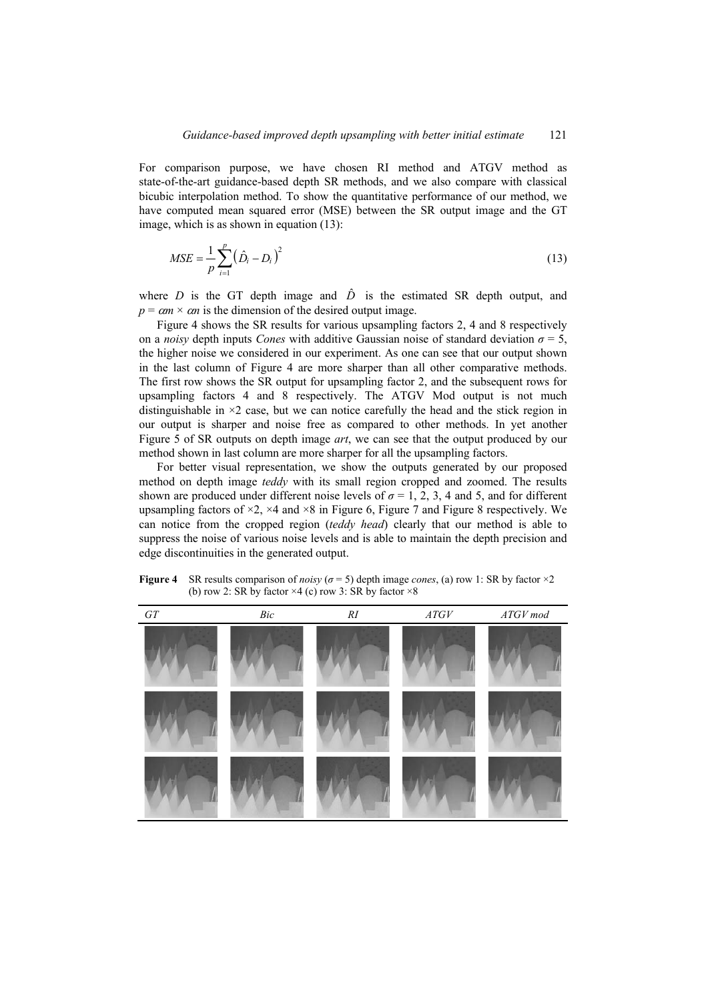For comparison purpose, we have chosen RI method and ATGV method as state-of-the-art guidance-based depth SR methods, and we also compare with classical bicubic interpolation method. To show the quantitative performance of our method, we have computed mean squared error (MSE) between the SR output image and the GT image, which is as shown in equation (13):

$$
MSE = \frac{1}{p} \sum_{i=1}^{p} (\hat{D}_i - D_i)^2
$$
 (13)

where *D* is the GT depth image and  $\hat{D}$  is the estimated SR depth output, and  $p = cm \times cm$  is the dimension of the desired output image.

Figure 4 shows the SR results for various upsampling factors 2, 4 and 8 respectively on a *noisy* depth inputs *Cones* with additive Gaussian noise of standard deviation  $\sigma = 5$ , the higher noise we considered in our experiment. As one can see that our output shown in the last column of Figure 4 are more sharper than all other comparative methods. The first row shows the SR output for upsampling factor 2, and the subsequent rows for upsampling factors 4 and 8 respectively. The ATGV Mod output is not much distinguishable in  $\times$ 2 case, but we can notice carefully the head and the stick region in our output is sharper and noise free as compared to other methods. In yet another Figure 5 of SR outputs on depth image *art*, we can see that the output produced by our method shown in last column are more sharper for all the upsampling factors.

For better visual representation, we show the outputs generated by our proposed method on depth image *teddy* with its small region cropped and zoomed. The results shown are produced under different noise levels of  $\sigma = 1, 2, 3, 4$  and 5, and for different upsampling factors of  $\times$ 2,  $\times$ 4 and  $\times$ 8 in Figure 6, Figure 7 and Figure 8 respectively. We can notice from the cropped region (*teddy head*) clearly that our method is able to suppress the noise of various noise levels and is able to maintain the depth precision and edge discontinuities in the generated output.

| ${\cal G}{\cal T}$ | $\mathit{Bic}$ | $\cal RI$ | $\mathit{ATGV}$ | $\mathcal{ATGV}\,mod$ |
|--------------------|----------------|-----------|-----------------|-----------------------|
|                    |                |           |                 |                       |
|                    |                |           |                 |                       |
|                    |                |           |                 |                       |

**Figure 4** SR results comparison of *noisy* ( $\sigma$  = 5) depth image *cones*, (a) row 1: SR by factor ×2 (b) row 2: SR by factor  $\times$ 4 (c) row 3: SR by factor  $\times$ 8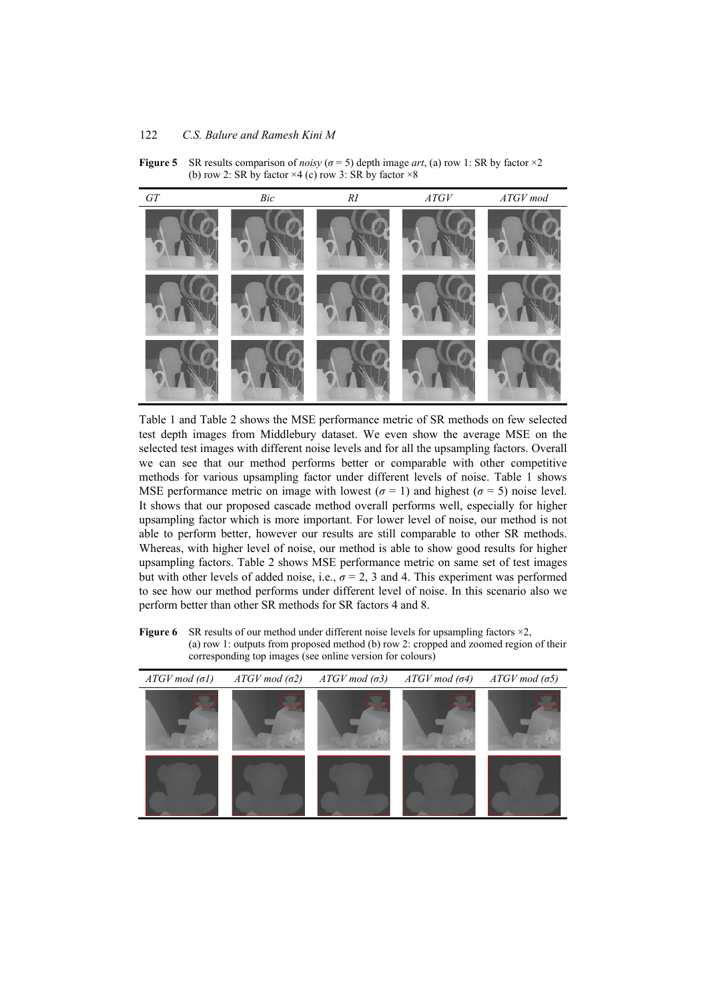**Figure 5** SR results comparison of *noisy* ( $\sigma$  = 5) depth image *art*, (a) row 1: SR by factor ×2 (b) row 2: SR by factor  $\times$ 4 (c) row 3: SR by factor  $\times$ 8



Table 1 and Table 2 shows the MSE performance metric of SR methods on few selected test depth images from Middlebury dataset. We even show the average MSE on the selected test images with different noise levels and for all the upsampling factors. Overall we can see that our method performs better or comparable with other competitive methods for various upsampling factor under different levels of noise. Table 1 shows MSE performance metric on image with lowest ( $\sigma = 1$ ) and highest ( $\sigma = 5$ ) noise level. It shows that our proposed cascade method overall performs well, especially for higher upsampling factor which is more important. For lower level of noise, our method is not able to perform better, however our results are still comparable to other SR methods. Whereas, with higher level of noise, our method is able to show good results for higher upsampling factors. Table 2 shows MSE performance metric on same set of test images but with other levels of added noise, i.e.,  $\sigma = 2$ , 3 and 4. This experiment was performed to see how our method performs under different level of noise. In this scenario also we perform better than other SR methods for SR factors 4 and 8.

**Figure 6** SR results of our method under different noise levels for upsampling factors  $\times$ 2, (a) row 1: outputs from proposed method (b) row 2: cropped and zoomed region of their corresponding top images (see online version for colours)

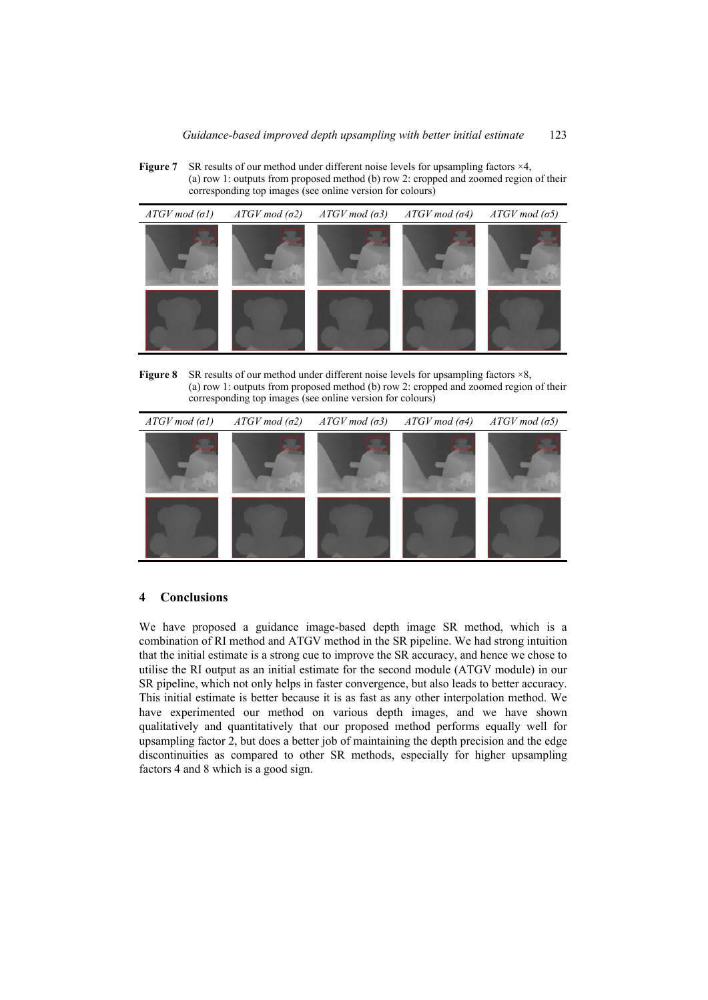**Figure 7** SR results of our method under different noise levels for upsampling factors  $\times$ 4, (a) row 1: outputs from proposed method (b) row 2: cropped and zoomed region of their corresponding top images (see online version for colours)



**Figure 8** SR results of our method under different noise levels for upsampling factors  $\times$ 8, (a) row 1: outputs from proposed method (b) row 2: cropped and zoomed region of their corresponding top images (see online version for colours)



### **4 Conclusions**

We have proposed a guidance image-based depth image SR method, which is a combination of RI method and ATGV method in the SR pipeline. We had strong intuition that the initial estimate is a strong cue to improve the SR accuracy, and hence we chose to utilise the RI output as an initial estimate for the second module (ATGV module) in our SR pipeline, which not only helps in faster convergence, but also leads to better accuracy. This initial estimate is better because it is as fast as any other interpolation method. We have experimented our method on various depth images, and we have shown qualitatively and quantitatively that our proposed method performs equally well for upsampling factor 2, but does a better job of maintaining the depth precision and the edge discontinuities as compared to other SR methods, especially for higher upsampling factors 4 and 8 which is a good sign.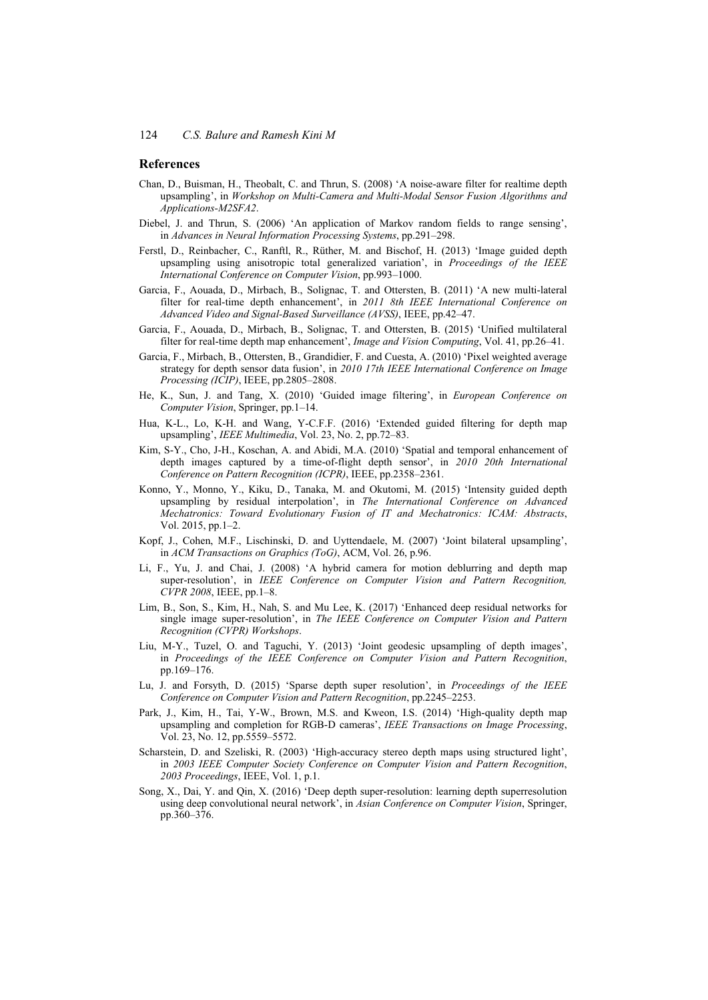#### **References**

- Chan, D., Buisman, H., Theobalt, C. and Thrun, S. (2008) 'A noise-aware filter for realtime depth upsampling', in *Workshop on Multi-Camera and Multi-Modal Sensor Fusion Algorithms and Applications-M2SFA2*.
- Diebel, J. and Thrun, S. (2006) 'An application of Markov random fields to range sensing', in *Advances in Neural Information Processing Systems*, pp.291–298.
- Ferstl, D., Reinbacher, C., Ranftl, R., Rüther, M. and Bischof, H. (2013) 'Image guided depth upsampling using anisotropic total generalized variation', in *Proceedings of the IEEE International Conference on Computer Vision*, pp.993–1000.
- Garcia, F., Aouada, D., Mirbach, B., Solignac, T. and Ottersten, B. (2011) 'A new multi-lateral filter for real-time depth enhancement', in *2011 8th IEEE International Conference on Advanced Video and Signal-Based Surveillance (AVSS)*, IEEE, pp.42–47.
- Garcia, F., Aouada, D., Mirbach, B., Solignac, T. and Ottersten, B. (2015) 'Unified multilateral filter for real-time depth map enhancement', *Image and Vision Computing*, Vol. 41, pp.26–41.
- Garcia, F., Mirbach, B., Ottersten, B., Grandidier, F. and Cuesta, A. (2010) 'Pixel weighted average strategy for depth sensor data fusion', in *2010 17th IEEE International Conference on Image Processing (ICIP)*, IEEE, pp.2805–2808.
- He, K., Sun, J. and Tang, X. (2010) 'Guided image filtering', in *European Conference on Computer Vision*, Springer, pp.1–14.
- Hua, K-L., Lo, K-H. and Wang, Y-C.F.F. (2016) 'Extended guided filtering for depth map upsampling', *IEEE Multimedia*, Vol. 23, No. 2, pp.72–83.
- Kim, S-Y., Cho, J-H., Koschan, A. and Abidi, M.A. (2010) 'Spatial and temporal enhancement of depth images captured by a time-of-flight depth sensor', in *2010 20th International Conference on Pattern Recognition (ICPR)*, IEEE, pp.2358–2361.
- Konno, Y., Monno, Y., Kiku, D., Tanaka, M. and Okutomi, M. (2015) 'Intensity guided depth upsampling by residual interpolation', in *The International Conference on Advanced Mechatronics: Toward Evolutionary Fusion of IT and Mechatronics: ICAM: Abstracts*, Vol. 2015, pp.1–2.
- Kopf, J., Cohen, M.F., Lischinski, D. and Uyttendaele, M. (2007) 'Joint bilateral upsampling', in *ACM Transactions on Graphics (ToG)*, ACM, Vol. 26, p.96.
- Li, F., Yu, J. and Chai, J. (2008) 'A hybrid camera for motion deblurring and depth map super-resolution', in *IEEE Conference on Computer Vision and Pattern Recognition, CVPR 2008*, IEEE, pp.1–8.
- Lim, B., Son, S., Kim, H., Nah, S. and Mu Lee, K. (2017) 'Enhanced deep residual networks for single image super-resolution', in *The IEEE Conference on Computer Vision and Pattern Recognition (CVPR) Workshops*.
- Liu, M-Y., Tuzel, O. and Taguchi, Y. (2013) 'Joint geodesic upsampling of depth images', in *Proceedings of the IEEE Conference on Computer Vision and Pattern Recognition*, pp.169–176.
- Lu, J. and Forsyth, D. (2015) 'Sparse depth super resolution', in *Proceedings of the IEEE Conference on Computer Vision and Pattern Recognition*, pp.2245–2253.
- Park, J., Kim, H., Tai, Y-W., Brown, M.S. and Kweon, I.S. (2014) 'High-quality depth map upsampling and completion for RGB-D cameras', *IEEE Transactions on Image Processing*, Vol. 23, No. 12, pp.5559–5572.
- Scharstein, D. and Szeliski, R. (2003) 'High-accuracy stereo depth maps using structured light', in *2003 IEEE Computer Society Conference on Computer Vision and Pattern Recognition*, *2003 Proceedings*, IEEE, Vol. 1, p.1.
- Song, X., Dai, Y. and Qin, X. (2016) 'Deep depth super-resolution: learning depth superresolution using deep convolutional neural network', in *Asian Conference on Computer Vision*, Springer, pp.360–376.